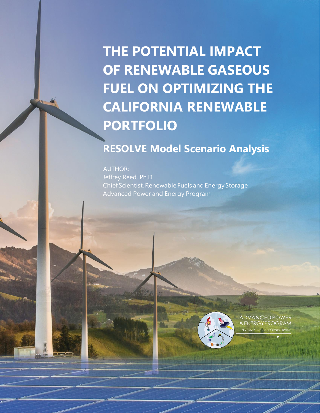**THE POTENTIAL IMPACT OF RENEWABLE GASEOUS FUEL ON OPTIMIZING THE CALIFORNIA RENEWABLE PORTFOLIO**

# **RESOLVE Model Scenario Analysis**

AUTHOR: Jeffrey Reed, Ph.D. Chief Scientist, Renewable Fuels and Energy Storage Advanced Power and Energy Program



ADVANCED POWER &ENERGYPROGRAM UNIVERSITY OF CA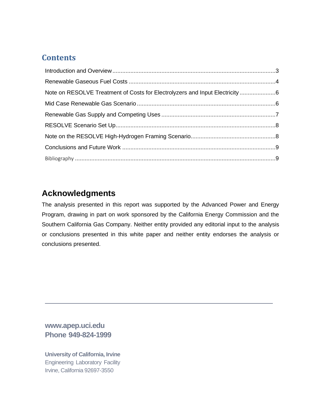## **Contents**

# **Acknowledgments**

The analysis presented in this report was supported by the Advanced Power and Energy Program, drawing in part on work sponsored by the California Energy Commission and the Southern California Gas Company. Neither entity provided any editorial input to the analysis or conclusions presented in this white paper and neither entity endorses the analysis or conclusions presented.

**[www.apep.uci.edu](http://www.apep.uci.edu/) Phone 949-824-1999**

**University of California, Irvine** Engineering Laboratory Facility Irvine, California 92697-3550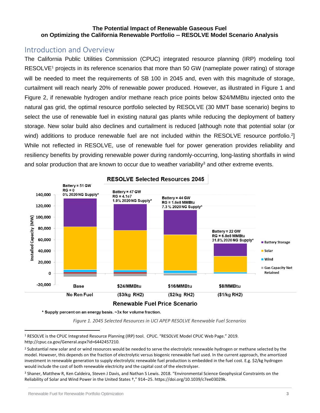#### **The Potential Impact of Renewable Gaseous Fuel on Optimizing the California Renewable Portfolio -- RESOLVE Model Scenario Analysis**

## <span id="page-2-0"></span>Introduction and Overview

The California Public Utilities Commission (CPUC) integrated resource planning (IRP) modeling tool RESOLVE<sup>1</sup> projects in its reference scenarios that more than 50 GW (nameplate power rating) of storage will be needed to meet the requirements of SB 100 in 2045 and, even with this magnitude of storage, curtailment will reach nearly 20% of renewable power produced. However, as illustrated in Figure 1 and Figure 2, if renewable hydrogen and/or methane reach price points below \$24/MMBtu injected onto the natural gas grid, the optimal resource portfolio selected by RESOLVE (30 MMT base scenario) begins to select the use of renewable fuel in existing natural gas plants while reducing the deployment of battery storage. New solar build also declines and curtailment is reduced [although note that potential solar (or wind) additions to produce renewable fuel are not included within the RESOLVE resource portfolio.<sup>2</sup>] While not reflected in RESOLVE, use of renewable fuel for power generation provides reliability and resiliency benefits by providing renewable power during randomly-occurring, long-lasting shortfalls in wind and solar production that are known to occur due to weather variability<sup>3</sup> and other extreme events.



**RESOLVE Selected Resources 2045** 

\* Supply percent on an energy basis. ~3x for volume fraction.

*Figure 1. 2045 Selected Resources in UCI APEP RESOLVE Renewable Fuel Scenarios*

<sup>3</sup> Shaner, Matthew R, Ken Caldeira, Steven J Davis, and Nathan S Lewis. 2018. "Environmental Science Geophysical Constraints on the Reliability of Solar and Wind Power in the United States †," 914–25. https://doi.org/10.1039/c7ee03029k.

<sup>1</sup> RESOLVE is the CPUC Integrated Resource Planning (IRP) tool. CPUC. "RESOLVE Model CPUC Web Page." 2019. http://cpuc.ca.gov/General.aspx?id=6442457210.

<sup>&</sup>lt;sup>2</sup> Substantial new solar and or wind resources would be needed to serve the electrolytic renewable hydrogen or methane selected by the model. However, this depends on the fraction of electrolytic versus biogenic renewable fuel used. In the current approach, the amortized investment in renewable generation to supply electrolytic renewable fuel production is embedded in the fuel cost. E.g. \$2/kg hydrogen would include the cost of both renewable electricity and the capital cost of the electrolyzer.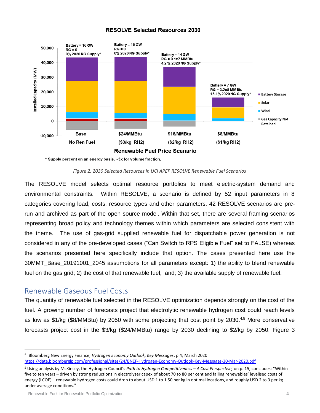#### **RESOLVE Selected Resources 2030**



\* Supply percent on an energy basis. ~3x for volume fraction.

#### *Figure 2. 2030 Selected Resources in UCI APEP RESOLVE Renewable Fuel Scenarios*

The RESOLVE model selects optimal resource portfolios to meet electric-system demand and environmental constraints. Within RESOLVE, a scenario is defined by 52 input parameters in 8 categories covering load, costs, resource types and other parameters. 42 RESOLVE scenarios are prerun and archived as part of the open source model. Within that set, there are several framing scenarios representing broad policy and technology themes within which parameters are selected consistent with the theme. The use of gas-grid supplied renewable fuel for dispatchable power generation is not considered in any of the pre-developed cases ("Can Switch to RPS Eligible Fuel" set to FALSE) whereas the scenarios presented here specifically include that option. The cases presented here use the 30MMT\_Base\_20191001\_2045 assumptions for all parameters except: 1) the ability to blend renewable fuel on the gas grid; 2) the cost of that renewable fuel, and; 3) the available supply of renewable fuel.

#### <span id="page-3-0"></span>Renewable Gaseous Fuel Costs

The quantity of renewable fuel selected in the RESOLVE optimization depends strongly on the cost of the fuel. A growing number of forecasts project that electrolytic renewable hydrogen cost could reach levels as low as \$1/kg (\$8/MMBtu) by 2050 with some projecting that cost point by 2030.<sup>4,5</sup> More conservative forecasts project cost in the \$3/kg (\$24/MMBtu) range by 2030 declining to \$2/kg by 2050. Figure 3

<sup>4</sup> Bloomberg New Energy Finance, *Hydrogen Economy Outlook, Key Messages*, p.4; March 2020 <https://data.bloomberglp.com/professional/sites/24/BNEF-Hydrogen-Economy-Outlook-Key-Messages-30-Mar-2020.pdf>

<sup>5</sup> Using analysis by McKinsey, the Hydrogen Council's *Path to Hydrogen Competitiveness – A Cost Perspective,* on p. 15, concludes: "Within five to ten years – driven by strong reductions in electrolyser capex of about 70 to 80 per cent and falling renewables' levelised costs of energy (LCOE) – renewable hydrogen costs could drop to about USD 1 to 1.50 per kg in optimal locations, and roughly USD 2 to 3 per kg under average conditions."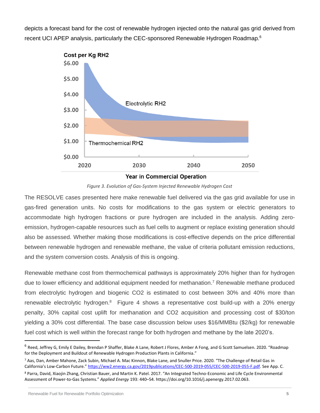depicts a forecast band for the cost of renewable hydrogen injected onto the natural gas grid derived from recent UCI APEP analysis, particularly the CEC-sponsored Renewable Hydrogen Roadmap.<sup>6</sup>



*Figure 3. Evolution of Gas-System Injected Renewable Hydrogen Cost*

The RESOLVE cases presented here make renewable fuel delivered via the gas grid available for use in gas-fired generation units. No costs for modifications to the gas system or electric generators to accommodate high hydrogen fractions or pure hydrogen are included in the analysis. Adding zeroemission, hydrogen-capable resources such as fuel cells to augment or replace existing generation should also be assessed. Whether making those modifications is cost-effective depends on the price differential between renewable hydrogen and renewable methane, the value of criteria pollutant emission reductions, and the system conversion costs. Analysis of this is ongoing.

Renewable methane cost from thermochemical pathways is approximately 20% higher than for hydrogen due to lower efficiency and additional equipment needed for methanation. <sup>7</sup> Renewable methane produced from electrolytic hydrogen and biogenic CO2 is estimated to cost between 30% and 40% more than renewable electrolytic hydrogen.<sup>8</sup> Figure 4 shows a representative cost build-up with a 20% energy penalty, 30% capital cost uplift for methanation and CO2 acquisition and processing cost of \$30/ton yielding a 30% cost differential. The base case discussion below uses \$16/MMBtu (\$2/kg) for renewable fuel cost which is well within the forecast range for both hydrogen and methane by the late 2020's.

<sup>&</sup>lt;sup>6</sup> Reed, Jeffrey G, Emily E Dailey, Brendan P Shaffer, Blake A Lane, Robert J Flores, Amber A Fong, and G Scott Samuelsen. 2020. "Roadmap for the Deployment and Buildout of Renewable Hydrogen Production Plants in California."

<sup>7</sup> Aas, Dan, Amber Mahone, Zack Subin, Michael A. Mac Kinnon, Blake Lane, and Snuller Price. 2020. "The Challenge of Retail Gas in California's Low-Carbon Future." [https://ww2.energy.ca.gov/2019publications/CEC-500-2019-055/CEC-500-2019-055-F.pdf.](https://ww2.energy.ca.gov/2019publications/CEC-500-2019-055/CEC-500-2019-055-F.pdf) See App. C. <sup>8</sup> Parra, David, Xiaojin Zhang, Christian Bauer, and Martin K. Patel. 2017. "An Integrated Techno-Economic and Life Cycle Environmental

Assessment of Power-to-Gas Systems." *Applied Energy* 193: 440–54. https://doi.org/10.1016/j.apenergy.2017.02.063.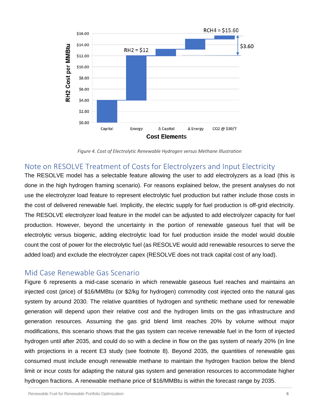

*Figure 4. Cost of Electrolytic Renewable Hydrogen versus Methane Illustration*

# <span id="page-5-0"></span>Note on RESOLVE Treatment of Costs for Electrolyzers and Input Electricity

The RESOLVE model has a selectable feature allowing the user to add electrolyzers as a load (this is done in the high hydrogen framing scenario). For reasons explained below, the present analyses do not use the electrolyzer load feature to represent electrolytic fuel production but rather include those costs in the cost of delivered renewable fuel. Implicitly, the electric supply for fuel production is off-grid electricity. The RESOLVE electrolyzer load feature in the model can be adjusted to add electrolyzer capacity for fuel production. However, beyond the uncertainty in the portion of renewable gaseous fuel that will be electrolytic versus biogenic, adding electrolytic load for fuel production inside the model would double count the cost of power for the electrolytic fuel (as RESOLVE would add renewable resources to serve the added load) and exclude the electrolyzer capex (RESOLVE does not track capital cost of any load).

### <span id="page-5-1"></span>Mid Case Renewable Gas Scenario

Figure 6 represents a mid-case scenario in which renewable gaseous fuel reaches and maintains an injected cost (price) of \$16/MMBtu (or \$2/kg for hydrogen) commodity cost injected onto the natural gas system by around 2030. The relative quantities of hydrogen and synthetic methane used for renewable generation will depend upon their relative cost and the hydrogen limits on the gas infrastructure and generation resources. Assuming the gas grid blend limit reaches 20% by volume without major modifications, this scenario shows that the gas system can receive renewable fuel in the form of injected hydrogen until after 2035, and could do so with a decline in flow on the gas system of nearly 20% (in line with projections in a recent E3 study (see footnote 8). Beyond 2035, the quantities of renewable gas consumed must include enough renewable methane to maintain the hydrogen fraction below the blend limit or incur costs for adapting the natural gas system and generation resources to accommodate higher hydrogen fractions. A renewable methane price of \$16/MMBtu is within the forecast range by 2035.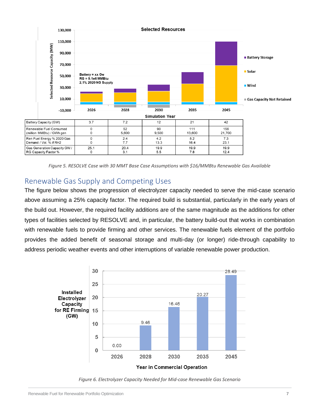

*Figure 5. RESOLVE Case with 30 MMT Base Case Assumptions with \$16/MMBtu Renewable Gas Available*

# <span id="page-6-0"></span>Renewable Gas Supply and Competing Uses

The figure below shows the progression of electrolyzer capacity needed to serve the mid-case scenario above assuming a 25% capacity factor. The required build is substantial, particularly in the early years of the build out. However, the required facility additions are of the same magnitude as the additions for other types of facilities selected by RESOLVE and, in particular, the battery build-out that works in combination with renewable fuels to provide firming and other services. The renewable fuels element of the portfolio provides the added benefit of seasonal storage and multi-day (or longer) ride-through capability to address periodic weather events and other interruptions of variable renewable power production.



*Figure 6. Electrolyzer Capacity Needed for Mid-case Renewable Gas Scenario*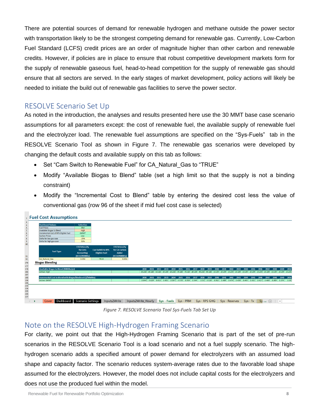There are potential sources of demand for renewable hydrogen and methane outside the power sector with transportation likely to be the strongest competing demand for renewable gas. Currently, Low-Carbon Fuel Standard (LCFS) credit prices are an order of magnitude higher than other carbon and renewable credits. However, if policies are in place to ensure that robust competitive development markets form for the supply of renewable gaseous fuel, head-to-head competition for the supply of renewable gas should ensure that all sectors are served. In the early stages of market development, policy actions will likely be needed to initiate the build out of renewable gas facilities to serve the power sector.

### <span id="page-7-0"></span>RESOLVE Scenario Set Up

As noted in the introduction, the analyses and results presented here use the 30 MMT base case scenario assumptions for all parameters except: the cost of renewable fuel, the available supply of renewable fuel and the electrolyzer load. The renewable fuel assumptions are specified on the "Sys-Fuels" tab in the RESOLVE Scenario Tool as shown in Figure 7. The renewable gas scenarios were developed by changing the default costs and available supply on this tab as follows:

- Set "Cam Switch to Renewable Fuel" for CA\_Natural\_Gas to "TRUE"
- Modify "Available Biogas to Blend" table (set a high limit so that the supply is not a binding constraint)
- Modify the "Incremental Cost to Blend" table by entering the desired cost less the value of conventional gas (row 96 of the sheet if mid fuel cost case is selected)



*Figure 7. RESOLVE Scenario Tool Sys-Fuels Tab Set Up*

#### <span id="page-7-1"></span>Note on the RESOLVE High-Hydrogen Framing Scenario

For clarity, we point out that the High-Hydrogen Framing Scenario that is part of the set of pre-run scenarios in the RESOLVE Scenario Tool is a load scenario and not a fuel supply scenario. The highhydrogen scenario adds a specified amount of power demand for electrolyzers with an assumed load shape and capacity factor. The scenario reduces system-average rates due to the favorable load shape assumed for the electrolyzers. However, the model does not include capital costs for the electrolyzers and does not use the produced fuel within the model.